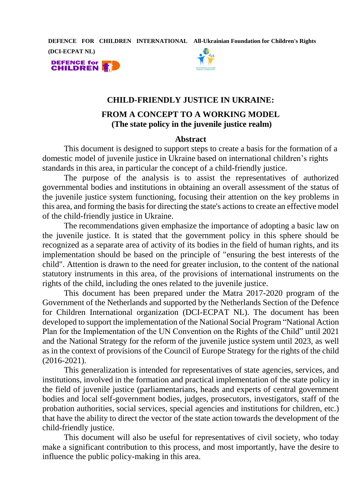**DEFENCE FOR CHILDREN INTERNATIONAL All-Ukrainian Foundation for Children's Rights** 

**(DCI-ECPAT NL)**





### **CHILD-FRIENDLY JUSTICE IN UKRAINE:**

# **FROM A CONCEPT TO A WORKING MODEL (The state policy in the juvenile justice realm)**

#### **Abstract**

This document is designed to support steps to create a basis for the formation of a domestic model of juvenile justice in Ukraine based on international children's rights standards in this area, in particular the concept of a child-friendly justice.

The purpose of the analysis is to assist the representatives of authorized governmental bodies and institutions in obtaining an overall assessment of the status of the juvenile justice system functioning, focusing their attention on the key problems in this area, and forming the basis for directing the state's actions to create an effective model of the child-friendly justice in Ukraine.

The recommendations given emphasize the importance of adopting a basic law on the juvenile justice. It is stated that the government policy in this sphere should be recognized as a separate area of activity of its bodies in the field of human rights, and its implementation should be based on the principle of "ensuring the best interests of the child". Attention is drawn to the need for greater inclusion, to the content of the national statutory instruments in this area, of the provisions of international instruments on the rights of the child, including the ones related to the juvenile justice.

This document has been prepared under the Matra 2017-2020 program of the Government of the Netherlands and supported by the Netherlands Section of the Defence for Children International organization (DCI-ECPAT NL). The document has been developed to support the implementation of the National Social Program "National Action Plan for the Implementation of the UN Convention on the Rights of the Child" until 2021 and the National Strategy for the reform of the juvenile justice system until 2023, as well as in the context of provisions of the Council of Europe Strategy for the rights of the child (2016-2021).

This generalization is intended for representatives of state agencies, services, and institutions, involved in the formation and practical implementation of the state policy in the field of juvenile justice (parliamentarians, heads and experts of central government bodies and local self-government bodies, judges, prosecutors, investigators, staff of the probation authorities, social services, special agencies and institutions for children, etc.) that have the ability to direct the vector of the state action towards the development of the child-friendly justice.

This document will also be useful for representatives of civil society, who today make a significant contribution to this process, and most importantly, have the desire to influence the public policy-making in this area.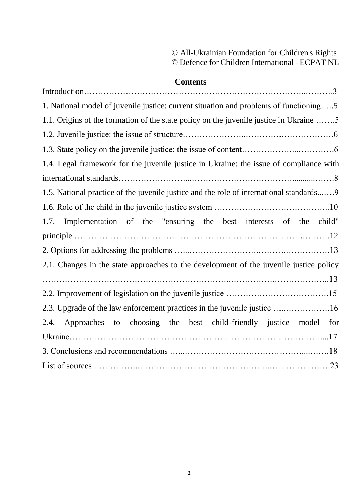# © All-Ukrainian Foundation for Children's Rights © [Defence for Children](https://www.defenceforchildren.nl/wat-doen-we/themas/seksuele-uitbuiting) International - ECPAT NL

# **Contents**

| 1. National model of juvenile justice: current situation and problems of functioning5   |
|-----------------------------------------------------------------------------------------|
| 1.1. Origins of the formation of the state policy on the juvenile justice in Ukraine 5  |
|                                                                                         |
|                                                                                         |
| 1.4. Legal framework for the juvenile justice in Ukraine: the issue of compliance with  |
|                                                                                         |
| 1.5. National practice of the juvenile justice and the role of international standards9 |
|                                                                                         |
| Implementation of the "ensuring the best interests of the<br>child"<br>1.7.             |
|                                                                                         |
|                                                                                         |
| 2.1. Changes in the state approaches to the development of the juvenile justice policy  |
|                                                                                         |
|                                                                                         |
| 2.3. Upgrade of the law enforcement practices in the juvenile justice 16                |
| Approaches to choosing the best child-friendly justice model for<br>2.4.                |
|                                                                                         |
|                                                                                         |
|                                                                                         |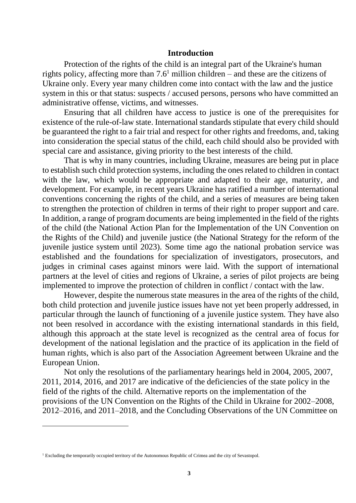#### **Introduction**

Protection of the rights of the child is an integral part of the Ukraine's human rights policy, affecting more than  $7.6<sup>1</sup>$  million children – and these are the citizens of Ukraine only. Every year many children come into contact with the law and the justice system in this or that status: suspects / accused persons, persons who have committed an administrative offense, victims, and witnesses.

Ensuring that all children have access to justice is one of the prerequisites for existence of the rule-of-law state. International standards stipulate that every child should be guaranteed the right to a fair trial and respect for other rights and freedoms, and, taking into consideration the special status of the child, each child should also be provided with special care and assistance, giving priority to the best interests of the child.

That is why in many countries, including Ukraine, measures are being put in place to establish such child protection systems, including the ones related to children in contact with the law, which would be appropriate and adapted to their age, maturity, and development. For example, in recent years Ukraine has ratified a number of international conventions concerning the rights of the child, and a series of measures are being taken to strengthen the protection of children in terms of their right to proper support and care. In addition, a range of program documents are being implemented in the field of the rights of the child (the National Action Plan for the Implementation of the UN Convention on the Rights of the Child) and juvenile justice (the National Strategy for the reform of the juvenile justice system until 2023). Some time ago the national probation service was established and the foundations for specialization of investigators, prosecutors, and judges in criminal cases against minors were laid. With the support of international partners at the level of cities and regions of Ukraine, a series of pilot projects are being implemented to improve the protection of children in conflict / contact with the law.

However, despite the numerous state measures in the area of the rights of the child, both child protection and juvenile justice issues have not yet been properly addressed, in particular through the launch of functioning of a juvenile justice system. They have also not been resolved in accordance with the existing international standards in this field, although this approach at the state level is recognized as the central area of focus for development of the national legislation and the practice of its application in the field of human rights, which is also part of the Association Agreement between Ukraine and the European Union.

Not only the resolutions of the parliamentary hearings held in 2004, 2005, 2007, 2011, 2014, 2016, and 2017 are indicative of the deficiencies of the state policy in the field of the rights of the child. Alternative reports on the implementation of the provisions of the UN Convention on the Rights of the Child in Ukraine for 2002–2008, 2012–2016, and 2011–2018, and the Concluding Observations of the UN Committee on

<sup>1</sup> Excluding the temporarily occupied territory of the Autonomous Republic of Crimea and the city of Sevastopol.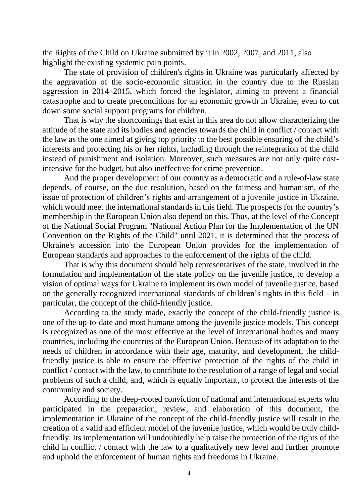the Rights of the Child on Ukraine submitted by it in 2002, 2007, and 2011, also highlight the existing systemic pain points.

The state of provision of children's rights in Ukraine was particularly affected by the aggravation of the socio-economic situation in the country due to the Russian aggression in 2014–2015, which forced the legislator, aiming to prevent a financial catastrophe and to create preconditions for an economic growth in Ukraine, even to cut down some social support programs for children.

That is why the shortcomings that exist in this area do not allow characterizing the attitude of the state and its bodies and agencies towards the child in conflict / contact with the law as the one aimed at giving top priority to the best possible ensuring of the child's interests and protecting his or her rights, including through the reintegration of the child instead of punishment and isolation. Moreover, such measures are not only quite costintensive for the budget, but also ineffective for crime prevention.

And the proper development of our country as a democratic and a rule-of-law state depends, of course, on the due resolution, based on the fairness and humanism, of the issue of protection of children's rights and arrangement of a juvenile justice in Ukraine, which would meet the international standards in this field. The prospects for the country's membership in the European Union also depend on this. Thus, at the level of the Concept of the National Social Program "National Action Plan for the Implementation of the UN Convention on the Rights of the Child" until 2021, it is determined that the process of Ukraine's accession into the European Union provides for the implementation of European standards and approaches to the enforcement of the rights of the child.

That is why this document should help representatives of the state, involved in the formulation and implementation of the state policy on the juvenile justice, to develop a vision of optimal ways for Ukraine to implement its own model of juvenile justice, based on the generally recognized international standards of children's rights in this field – in particular, the concept of the child-friendly justice.

According to the study made, exactly the concept of the child-friendly justice is one of the up-to-date and most humane among the juvenile justice models. This concept is recognized as one of the most effective at the level of international bodies and many countries, including the countries of the European Union. Because of its adaptation to the needs of children in accordance with their age, maturity, and development, the childfriendly justice is able to ensure the effective protection of the rights of the child in conflict / contact with the law, to contribute to the resolution of a range of legal and social problems of such a child, and, which is equally important, to protect the interests of the community and society.

According to the deep-rooted conviction of national and international experts who participated in the preparation, review, and elaboration of this document, the implementation in Ukraine of the concept of the child-friendly justice will result in the creation of a valid and efficient model of the juvenile justice, which would be truly childfriendly. Its implementation will undoubtedly help raise the protection of the rights of the child in conflict / contact with the law to a qualitatively new level and further promote and uphold the enforcement of human rights and freedoms in Ukraine.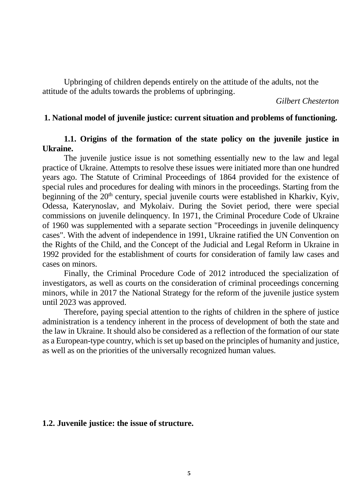Upbringing of children depends entirely on the attitude of the adults, not the attitude of the adults towards the problems of upbringing.

*Gilbert Chesterton* 

#### **1. National model of juvenile justice: current situation and problems of functioning.**

# **1.1. Origins of the formation of the state policy on the juvenile justice in Ukraine.**

The juvenile justice issue is not something essentially new to the law and legal practice of Ukraine. Attempts to resolve these issues were initiated more than one hundred years ago. The Statute of Criminal Proceedings of 1864 provided for the existence of special rules and procedures for dealing with minors in the proceedings. Starting from the beginning of the 20<sup>th</sup> century, special juvenile courts were established in Kharkiv, Kyiv, Odessa, Katerynoslav, and Mykolaiv. During the Soviet period, there were special commissions on juvenile delinquency. In 1971, the Criminal Procedure Code of Ukraine of 1960 was supplemented with a separate section "Proceedings in juvenile delinquency cases". With the advent of independence in 1991, Ukraine ratified the UN Convention on the Rights of the Child, and the Concept of the Judicial and Legal Reform in Ukraine in 1992 provided for the establishment of courts for consideration of family law cases and cases on minors.

Finally, the Criminal Procedure Code of 2012 introduced the specialization of investigators, as well as courts on the consideration of criminal proceedings concerning minors, while in 2017 the National Strategy for the reform of the juvenile justice system until 2023 was approved.

Therefore, paying special attention to the rights of children in the sphere of justice administration is a tendency inherent in the process of development of both the state and the law in Ukraine. It should also be considered as a reflection of the formation of our state as a European-type country, which is set up based on the principles of humanity and justice, as well as on the priorities of the universally recognized human values.

#### **1.2. Juvenile justice: the issue of structure.**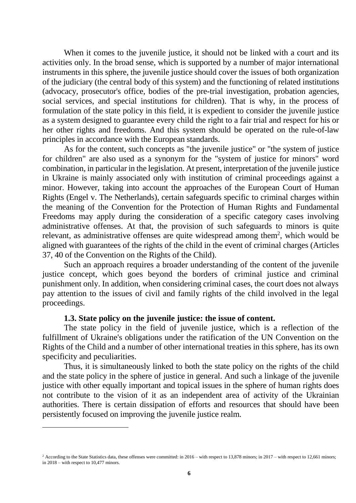When it comes to the juvenile justice, it should not be linked with a court and its activities only. In the broad sense, which is supported by a number of major international instruments in this sphere, the juvenile justice should cover the issues of both organization of the judiciary (the central body of this system) and the functioning of related institutions (advocacy, prosecutor's office, bodies of the pre-trial investigation, probation agencies, social services, and special institutions for children). That is why, in the process of formulation of the state policy in this field, it is expedient to consider the juvenile justice as a system designed to guarantee every child the right to a fair trial and respect for his or her other rights and freedoms. And this system should be operated on the rule-of-law principles in accordance with the European standards.

As for the content, such concepts as "the juvenile justice" or "the system of justice for children" are also used as a synonym for the "system of justice for minors" word combination, in particular in the legislation. At present, interpretation of the juvenile justice in Ukraine is mainly associated only with institution of criminal proceedings against a minor. However, taking into account the approaches of the European Court of Human Rights (Engel v. The Netherlands), certain safeguards specific to criminal charges within the meaning of the Convention for the Protection of Human Rights and Fundamental Freedoms may apply during the consideration of a specific category cases involving administrative offenses. At that, the provision of such safeguards to minors is quite relevant, as administrative offenses are quite widespread among them<sup>2</sup>, which would be aligned with guarantees of the rights of the child in the event of criminal charges (Articles 37, 40 of the Convention on the Rights of the Child).

Such an approach requires a broader understanding of the content of the juvenile justice concept, which goes beyond the borders of criminal justice and criminal punishment only. In addition, when considering criminal cases, the court does not always pay attention to the issues of civil and family rights of the child involved in the legal proceedings.

# **1.3. State policy on the juvenile justice: the issue of content.**

The state policy in the field of juvenile justice, which is a reflection of the fulfillment of Ukraine's obligations under the ratification of the UN Convention on the Rights of the Child and a number of other international treaties in this sphere, has its own specificity and peculiarities.

Thus, it is simultaneously linked to both the state policy on the rights of the child and the state policy in the sphere of justice in general. And such a linkage of the juvenile justice with other equally important and topical issues in the sphere of human rights does not contribute to the vision of it as an independent area of activity of the Ukrainian authorities. There is certain dissipation of efforts and resources that should have been persistently focused on improving the juvenile justice realm.

<sup>&</sup>lt;sup>2</sup> According to the State Statistics data, these offenses were committed: in 2016 – with respect to 13,878 minors; in 2017 – with respect to 12,661 minors; in 2018 – with respect to 10,477 minors.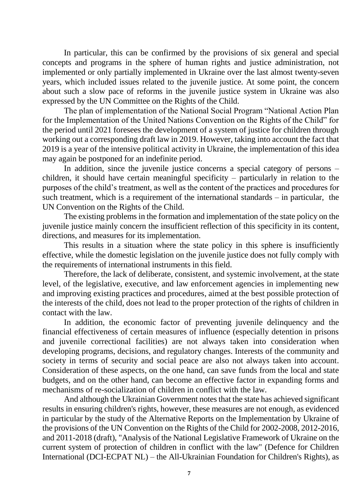In particular, this can be confirmed by the provisions of six general and special concepts and programs in the sphere of human rights and justice administration, not implemented or only partially implemented in Ukraine over the last almost twenty-seven years, which included issues related to the juvenile justice. At some point, the concern about such a slow pace of reforms in the juvenile justice system in Ukraine was also expressed by the UN Committee on the Rights of the Child.

The plan of implementation of the National Social Program "National Action Plan for the Implementation of the United Nations Convention on the Rights of the Child" for the period until 2021 foresees the development of a system of justice for children through working out a corresponding draft law in 2019. However, taking into account the fact that 2019 is a year of the intensive political activity in Ukraine, the implementation of this idea may again be postponed for an indefinite period.

In addition, since the juvenile justice concerns a special category of persons – children, it should have certain meaningful specificity – particularly in relation to the purposes of the child's treatment, as well as the content of the practices and procedures for such treatment, which is a requirement of the international standards – in particular, the UN Convention on the Rights of the Child.

The existing problems in the formation and implementation of the state policy on the juvenile justice mainly concern the insufficient reflection of this specificity in its content, directions, and measures for its implementation.

This results in a situation where the state policy in this sphere is insufficiently effective, while the domestic legislation on the juvenile justice does not fully comply with the requirements of international instruments in this field.

Therefore, the lack of deliberate, consistent, and systemic involvement, at the state level, of the legislative, executive, and law enforcement agencies in implementing new and improving existing practices and procedures, aimed at the best possible protection of the interests of the child, does not lead to the proper protection of the rights of children in contact with the law.

In addition, the economic factor of preventing juvenile delinquency and the financial effectiveness of certain measures of influence (especially detention in prisons and juvenile correctional facilities) are not always taken into consideration when developing programs, decisions, and regulatory changes. Interests of the community and society in terms of security and social peace are also not always taken into account. Consideration of these aspects, on the one hand, can save funds from the local and state budgets, and on the other hand, can become an effective factor in expanding forms and mechanisms of re-socialization of children in conflict with the law.

And although the Ukrainian Government notes that the state has achieved significant results in ensuring children's rights, however, these measures are not enough, as evidenced in particular by the study of the Alternative Reports on the Implementation by Ukraine of the provisions of the UN Convention on the Rights of the Child for 2002-2008, 2012-2016, and 2011-2018 (draft), "Analysis of the National Legislative Framework of Ukraine on the current system of protection of children in conflict with the law" (Defence for Children International (DCI-ECPAT NL) – the All-Ukrainian Foundation for Children's Rights), as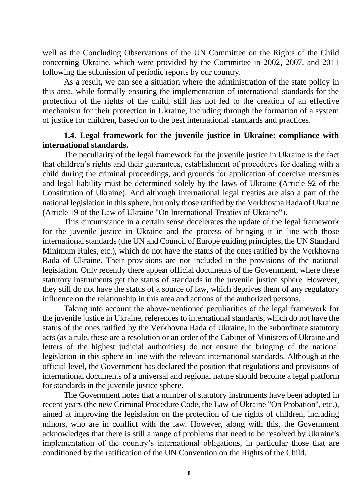well as the Concluding Observations of the UN Committee on the Rights of the Child concerning Ukraine, which were provided by the Committee in 2002, 2007, and 2011 following the submission of periodic reports by our country.

As a result, we can see a situation where the administration of the state policy in this area, while formally ensuring the implementation of international standards for the protection of the rights of the child, still has not led to the creation of an effective mechanism for their protection in Ukraine, including through the formation of a system of justice for children, based on to the best international standards and practices.

### **1.4. Legal framework for the juvenile justice in Ukraine: compliance with international standards.**

The peculiarity of the legal framework for the juvenile justice in Ukraine is the fact that children's rights and their guarantees, establishment of procedures for dealing with a child during the criminal proceedings, and grounds for application of coercive measures and legal liability must be determined solely by the laws of Ukraine (Article 92 of the Constitution of Ukraine). And although international legal treaties are also a part of the national legislation in this sphere, but only those ratified by the Verkhovna Rada of Ukraine (Article 19 of the Law of Ukraine "On International Treaties of Ukraine").

This circumstance in a certain sense decelerates the update of the legal framework for the juvenile justice in Ukraine and the process of bringing it in line with those international standards (the UN and Council of Europe guiding principles, the UN Standard Minimum Rules, etc.), which do not have the status of the ones ratified by the Verkhovna Rada of Ukraine. Their provisions are not included in the provisions of the national legislation. Only recently there appear official documents of the Government, where these statutory instruments get the status of standards in the juvenile justice sphere. However, they still do not have the status of a source of law, which deprives them of any regulatory influence on the relationship in this area and actions of the authorized persons.

Taking into account the above-mentioned peculiarities of the legal framework for the juvenile justice in Ukraine, references to international standards, which do not have the status of the ones ratified by the Verkhovna Rada of Ukraine, in the subordinate statutory acts (as a rule, these are a resolution or an order of the Cabinet of Ministers of Ukraine and letters of the highest judicial authorities) do not ensure the bringing of the national legislation in this sphere in line with the relevant international standards. Although at the official level, the Government has declared the position that regulations and provisions of international documents of a universal and regional nature should become a legal platform for standards in the juvenile justice sphere.

The Government notes that a number of statutory instruments have been adopted in recent years (the new Criminal Procedure Code, the Law of Ukraine "On Probation", etc.), aimed at improving the legislation on the protection of the rights of children, including minors, who are in conflict with the law. However, along with this, the Government acknowledges that there is still a range of problems that need to be resolved by Ukraine's implementation of the country's international obligations, in particular those that are conditioned by the ratification of the UN Convention on the Rights of the Child.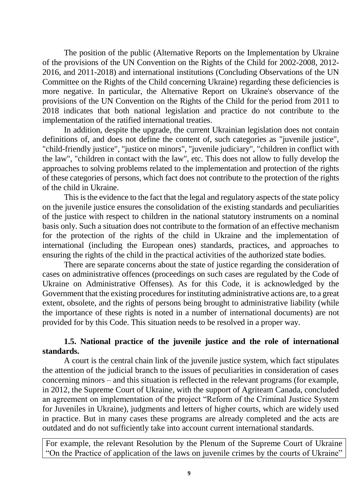The position of the public (Alternative Reports on the Implementation by Ukraine of the provisions of the UN Convention on the Rights of the Child for 2002-2008, 2012- 2016, and 2011-2018) and international institutions (Concluding Observations of the UN Committee on the Rights of the Child concerning Ukraine) regarding these deficiencies is more negative. In particular, the Alternative Report on Ukraine's observance of the provisions of the UN Convention on the Rights of the Child for the period from 2011 to 2018 indicates that both national legislation and practice do not contribute to the implementation of the ratified international treaties.

In addition, despite the upgrade, the current Ukrainian legislation does not contain definitions of, and does not define the content of, such categories as "juvenile justice", "child-friendly justice", "justice on minors", "juvenile judiciary", "children in conflict with the law", "children in contact with the law", etc. This does not allow to fully develop the approaches to solving problems related to the implementation and protection of the rights of these categories of persons, which fact does not contribute to the protection of the rights of the child in Ukraine.

This is the evidence to the fact that the legal and regulatory aspects of the state policy on the juvenile justice ensures the consolidation of the existing standards and peculiarities of the justice with respect to children in the national statutory instruments on a nominal basis only. Such a situation does not contribute to the formation of an effective mechanism for the protection of the rights of the child in Ukraine and the implementation of international (including the European ones) standards, practices, and approaches to ensuring the rights of the child in the practical activities of the authorized state bodies.

There are separate concerns about the state of justice regarding the consideration of cases on administrative offences (proceedings on such cases are regulated by the Code of Ukraine on Administrative Offenses). As for this Code, it is acknowledged by the Government that the existing procedures for instituting administrative actions are, to a great extent, obsolete, and the rights of persons being brought to administrative liability (while the importance of these rights is noted in a number of international documents) are not provided for by this Code. This situation needs to be resolved in a proper way.

### **1.5. National practice of the juvenile justice and the role of international standards.**

A court is the central chain link of the juvenile justice system, which fact stipulates the attention of the judicial branch to the issues of peculiarities in consideration of cases concerning minors – and this situation is reflected in the relevant programs (for example, in 2012, the Supreme Court of Ukraine, with the support of Agriteam Canada, concluded an agreement on implementation of the project "Reform of the Criminal Justice System for Juveniles in Ukraine), judgments and letters of higher courts, which are widely used in practice. But in many cases these programs are already completed and the acts are outdated and do not sufficiently take into account current international standards.

For example, the relevant Resolution by the Plenum of the Supreme Court of Ukraine "On the Practice of application of the laws on juvenile crimes by the courts of Ukraine"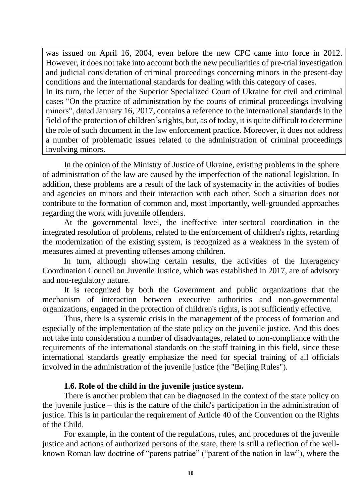was issued on April 16, 2004, even before the new CPC came into force in 2012. However, it does not take into account both the new peculiarities of pre-trial investigation and judicial consideration of criminal proceedings concerning minors in the present-day conditions and the international standards for dealing with this category of cases. In its turn, the letter of the Superior Specialized Court of Ukraine for civil and criminal cases "On the practice of administration by the courts of criminal proceedings involving minors", dated January 16, 2017, contains a reference to the international standards in the field of the protection of children's rights, but, as of today, it is quite difficult to determine the role of such document in the law enforcement practice. Moreover, it does not address a number of problematic issues related to the administration of criminal proceedings involving minors.

In the opinion of the Ministry of Justice of Ukraine, existing problems in the sphere of administration of the law are caused by the imperfection of the national legislation. In addition, these problems are a result of the lack of systemacity in the activities of bodies and agencies on minors and their interaction with each other. Such a situation does not contribute to the formation of common and, most importantly, well-grounded approaches regarding the work with juvenile offenders.

At the governmental level, the ineffective inter-sectoral coordination in the integrated resolution of problems, related to the enforcement of children's rights, retarding the modernization of the existing system, is recognized as a weakness in the system of measures aimed at preventing offenses among children.

In turn, although showing certain results, the activities of the Interagency Coordination Council on Juvenile Justice, which was established in 2017, are of advisory and non-regulatory nature.

It is recognized by both the Government and public organizations that the mechanism of interaction between executive authorities and non-governmental organizations, engaged in the protection of children's rights, is not sufficiently effective.

Thus, there is a systemic crisis in the management of the process of formation and especially of the implementation of the state policy on the juvenile justice. And this does not take into consideration a number of disadvantages, related to non-compliance with the requirements of the international standards on the staff training in this field, since these international standards greatly emphasize the need for special training of all officials involved in the administration of the juvenile justice (the "Beijing Rules").

### **1.6. Role of the child in the juvenile justice system.**

There is another problem that can be diagnosed in the context of the state policy on the juvenile justice – this is the nature of the child's participation in the administration of justice. This is in particular the requirement of Article 40 of the Convention on the Rights of the Child.

For example, in the content of the regulations, rules, and procedures of the juvenile justice and actions of authorized persons of the state, there is still a reflection of the wellknown Roman law doctrine of "parens patriae" ("parent of the nation in law"), where the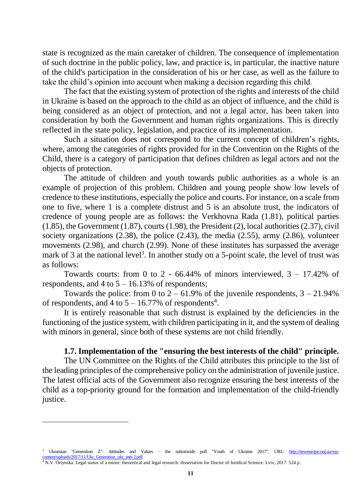state is recognized as the main caretaker of children. The consequence of implementation of such doctrine in the public policy, law, and practice is, in particular, the inactive nature of the child's participation in the consideration of his or her case, as well as the failure to take the child's opinion into account when making a decision regarding this child.

The fact that the existing system of protection of the rights and interests of the child in Ukraine is based on the approach to the child as an object of influence, and the child is being considered as an object of protection, and not a legal actor, has been taken into consideration by both the Government and human rights organizations. This is directly reflected in the state policy, legislation, and practice of its implementation.

Such a situation does not correspond to the current concept of children's rights, where, among the categories of rights provided for in the Convention on the Rights of the Child, there is a category of participation that defines children as legal actors and not the objects of protection.

The attitude of children and youth towards public authorities as a whole is an example of projection of this problem. Children and young people show low levels of credence to these institutions, especially the police and courts. For instance, on a scale from one to five, where 1 is a complete distrust and 5 is an absolute trust, the indicators of credence of young people are as follows: the Verkhovna Rada (1.81), political parties (1.85), the Government (1.87), courts (1.98), the President (2), local authorities (2.37), civil society organizations (2.38), the police (2.43), the media (2.55), army (2.86), volunteer movements (2.98), and church (2.99). None of these institutes has surpassed the average mark of 3 at the national level<sup>3</sup>. In another study on a 5-point scale, the level of trust was as follows:

Towards courts: from 0 to 2 - 66.44% of minors interviewed,  $3 - 17.42\%$  of respondents, and  $4$  to  $5 - 16.13\%$  of respondents;

Towards the police: from 0 to  $2 - 61.9\%$  of the juvenile respondents,  $3 - 21.94\%$ of respondents, and 4 to  $5 - 16.77\%$  of respondents<sup>4</sup>.

It is entirely reasonable that such distrust is explained by the deficiencies in the functioning of the justice system, with children participating in it, and the system of dealing with minors in general, since both of these systems are not child friendly.

#### **1.7. Implementation of the "ensuring the best interests of the child" principle.**

The UN Committee on the Rights of the Child attributes this principle to the list of the leading principles of the comprehensive policy on the administration of juvenile justice. The latest official acts of the Government also recognize ensuring the best interests of the child as a top-priority ground for the formation and implementation of the child-friendly justice.

Ukrainian "Generation Z": Attitudes and Values – the nationwide poll "Youth of Ukraine 2017". URL: [http://neweurope.org.ua/wp](http://neweurope.org.ua/wp-content/uploads/2017/11/Ukr_Generation_ukr_inet-2.pdf)ontent/uploads/2017/11/Ukr\_Generation\_ukr\_inet-2.pdf.

<sup>4</sup> N.V. Ortynska. Legal status of a minor: theoretical and legal research: dissertation for Doctor of Juridical Science. Lviv, 2017. 524 p.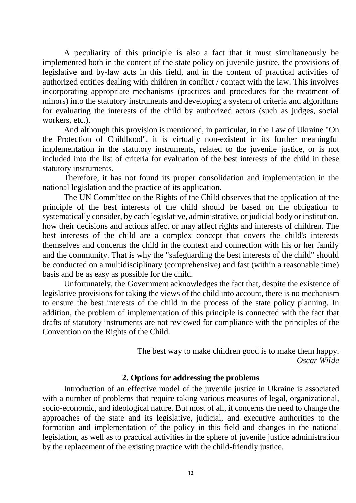A peculiarity of this principle is also a fact that it must simultaneously be implemented both in the content of the state policy on juvenile justice, the provisions of legislative and by-law acts in this field, and in the content of practical activities of authorized entities dealing with children in conflict / contact with the law. This involves incorporating appropriate mechanisms (practices and procedures for the treatment of minors) into the statutory instruments and developing a system of criteria and algorithms for evaluating the interests of the child by authorized actors (such as judges, social workers, etc.).

And although this provision is mentioned, in particular, in the Law of Ukraine "On the Protection of Childhood", it is virtually non-existent in its further meaningful implementation in the statutory instruments, related to the juvenile justice, or is not included into the list of criteria for evaluation of the best interests of the child in these statutory instruments.

Therefore, it has not found its proper consolidation and implementation in the national legislation and the practice of its application.

The UN Committee on the Rights of the Child observes that the application of the principle of the best interests of the child should be based on the obligation to systematically consider, by each legislative, administrative, or judicial body or institution, how their decisions and actions affect or may affect rights and interests of children. The best interests of the child are a complex concept that covers the child's interests themselves and concerns the child in the context and connection with his or her family and the community. That is why the "safeguarding the best interests of the child" should be conducted on a multidisciplinary (comprehensive) and fast (within a reasonable time) basis and be as easy as possible for the child.

Unfortunately, the Government acknowledges the fact that, despite the existence of legislative provisions for taking the views of the child into account, there is no mechanism to ensure the best interests of the child in the process of the state policy planning. In addition, the problem of implementation of this principle is connected with the fact that drafts of statutory instruments are not reviewed for compliance with the principles of the Convention on the Rights of the Child.

> The best way to make children good is to make them happy. *Oscar Wilde*

#### **2. Options for addressing the problems**

Introduction of an effective model of the juvenile justice in Ukraine is associated with a number of problems that require taking various measures of legal, organizational, socio-economic, and ideological nature. But most of all, it concerns the need to change the approaches of the state and its legislative, judicial, and executive authorities to the formation and implementation of the policy in this field and changes in the national legislation, as well as to practical activities in the sphere of juvenile justice administration by the replacement of the existing practice with the child-friendly justice.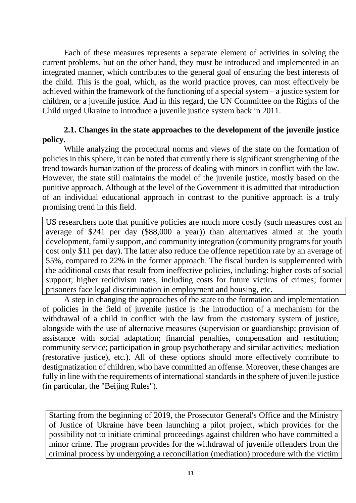Each of these measures represents a separate element of activities in solving the current problems, but on the other hand, they must be introduced and implemented in an integrated manner, which contributes to the general goal of ensuring the best interests of the child. This is the goal, which, as the world practice proves, can most effectively be achieved within the framework of the functioning of a special system – a justice system for children, or a juvenile justice. And in this regard, the UN Committee on the Rights of the Child urged Ukraine to introduce a juvenile justice system back in 2011.

# **2.1. Changes in the state approaches to the development of the juvenile justice policy.**

While analyzing the procedural norms and views of the state on the formation of policies in this sphere, it can be noted that currently there is significant strengthening of the trend towards humanization of the process of dealing with minors in conflict with the law. However, the state still maintains the model of the juvenile justice, mostly based on the punitive approach. Although at the level of the Government it is admitted that introduction of an individual educational approach in contrast to the punitive approach is a truly promising trend in this field.

US researchers note that punitive policies are much more costly (such measures cost an average of \$241 per day (\$88,000 a year)) than alternatives aimed at the youth development, family support, and community integration (community programs for youth cost only \$11 per day). The latter also reduce the offence repetition rate by an average of 55%, compared to 22% in the former approach. The fiscal burden is supplemented with the additional costs that result from ineffective policies, including: higher costs of social support; higher recidivism rates, including costs for future victims of crimes; former prisoners face legal discrimination in employment and housing, etc.

A step in changing the approaches of the state to the formation and implementation of policies in the field of juvenile justice is the introduction of a mechanism for the withdrawal of a child in conflict with the law from the customary system of justice, alongside with the use of alternative measures (supervision or guardianship; provision of assistance with social adaptation; financial penalties, compensation and restitution; community service; participation in group psychotherapy and similar activities; mediation (restorative justice), etc.). All of these options should more effectively contribute to destigmatization of children, who have committed an offense. Moreover, these changes are fully in line with the requirements of international standards in the sphere of juvenile justice (in particular, the "Beijing Rules").

Starting from the beginning of 2019, the Prosecutor General's Office and the Ministry of Justice of Ukraine have been launching a pilot project, which provides for the possibility not to initiate criminal proceedings against children who have committed a minor crime. The program provides for the withdrawal of juvenile offenders from the criminal process by undergoing a reconciliation (mediation) procedure with the victim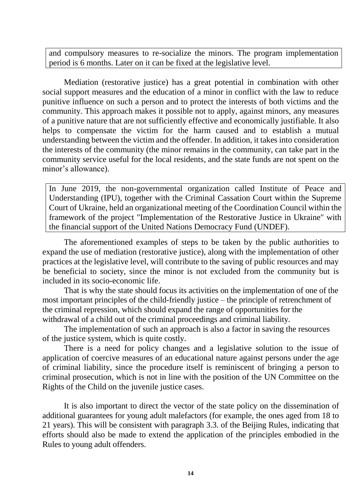and compulsory measures to re-socialize the minors. The program implementation period is 6 months. Later on it can be fixed at the legislative level.

Mediation (restorative justice) has a great potential in combination with other social support measures and the education of a minor in conflict with the law to reduce punitive influence on such a person and to protect the interests of both victims and the community. This approach makes it possible not to apply, against minors, any measures of a punitive nature that are not sufficiently effective and economically justifiable. It also helps to compensate the victim for the harm caused and to establish a mutual understanding between the victim and the offender. In addition, it takes into consideration the interests of the community (the minor remains in the community, can take part in the community service useful for the local residents, and the state funds are not spent on the minor's allowance).

In June 2019, the non-governmental organization called Institute of Peace and Understanding (IPU), together with the Criminal Cassation Court within the Supreme Court of Ukraine, held an organizational meeting of the Coordination Council within the framework of the project "Implementation of the Restorative Justice in Ukraine" with the financial support of the United Nations Democracy Fund (UNDEF).

The aforementioned examples of steps to be taken by the public authorities to expand the use of mediation (restorative justice), along with the implementation of other practices at the legislative level, will contribute to the saving of public resources and may be beneficial to society, since the minor is not excluded from the community but is included in its socio-economic life.

That is why the state should focus its activities on the implementation of one of the most important principles of the child-friendly justice – the principle of retrenchment of the criminal repression, which should expand the range of opportunities for the withdrawal of a child out of the criminal proceedings and criminal liability.

The implementation of such an approach is also a factor in saving the resources of the justice system, which is quite costly.

There is a need for policy changes and a legislative solution to the issue of application of coercive measures of an educational nature against persons under the age of criminal liability, since the procedure itself is reminiscent of bringing a person to criminal prosecution, which is not in line with the position of the UN Committee on the Rights of the Child on the juvenile justice cases.

It is also important to direct the vector of the state policy on the dissemination of additional guarantees for young adult malefactors (for example, the ones aged from 18 to 21 years). This will be consistent with paragraph 3.3. of the Beijing Rules, indicating that efforts should also be made to extend the application of the principles embodied in the Rules to young adult offenders.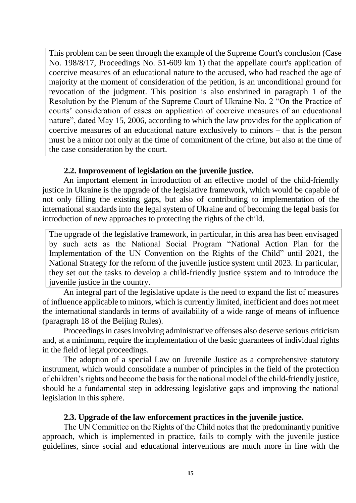This problem can be seen through the example of the Supreme Court's conclusion (Case No. 198/8/17, Proceedings No. 51-609 km 1) that the appellate court's application of coercive measures of an educational nature to the accused, who had reached the age of majority at the moment of consideration of the petition, is an unconditional ground for revocation of the judgment. This position is also enshrined in paragraph 1 of the Resolution by the Plenum of the Supreme Court of Ukraine No. 2 "On the Practice of courts' consideration of cases on application of coercive measures of an educational nature", dated May 15, 2006, according to which the law provides for the application of coercive measures of an educational nature exclusively to minors – that is the person must be a minor not only at the time of commitment of the crime, but also at the time of the case consideration by the court.

# **2.2. Improvement of legislation on the juvenile justice.**

An important element in introduction of an effective model of the child-friendly justice in Ukraine is the upgrade of the legislative framework, which would be capable of not only filling the existing gaps, but also of contributing to implementation of the international standards into the legal system of Ukraine and of becoming the legal basis for introduction of new approaches to protecting the rights of the child.

The upgrade of the legislative framework, in particular, in this area has been envisaged by such acts as the National Social Program "National Action Plan for the Implementation of the UN Convention on the Rights of the Child" until 2021, the National Strategy for the reform of the juvenile justice system until 2023. In particular, they set out the tasks to develop a child-friendly justice system and to introduce the juvenile justice in the country.

An integral part of the legislative update is the need to expand the list of measures of influence applicable to minors, which is currently limited, inefficient and does not meet the international standards in terms of availability of a wide range of means of influence (paragraph 18 of the Beijing Rules).

Proceedings in cases involving administrative offenses also deserve serious criticism and, at a minimum, require the implementation of the basic guarantees of individual rights in the field of legal proceedings.

The adoption of a special Law on Juvenile Justice as a comprehensive statutory instrument, which would consolidate a number of principles in the field of the protection of children's rights and become the basis for the national model of the child-friendly justice, should be a fundamental step in addressing legislative gaps and improving the national legislation in this sphere.

### **2.3. Upgrade of the law enforcement practices in the juvenile justice.**

The UN Committee on the Rights of the Child notes that the predominantly punitive approach, which is implemented in practice, fails to comply with the juvenile justice guidelines, since social and educational interventions are much more in line with the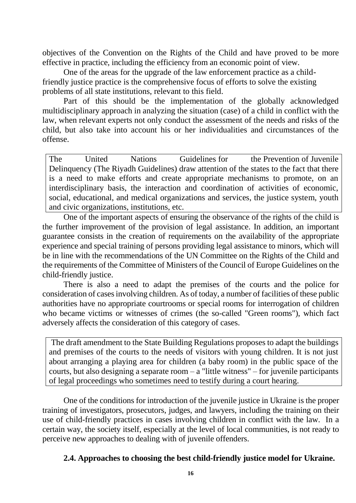objectives of the Convention on the Rights of the Child and have proved to be more effective in practice, including the efficiency from an economic point of view.

One of the areas for the upgrade of the law enforcement practice as a childfriendly justice practice is the comprehensive focus of efforts to solve the existing problems of all state institutions, relevant to this field.

Part of this should be the implementation of the globally acknowledged multidisciplinary approach in analyzing the situation (case) of a child in conflict with the law, when relevant experts not only conduct the assessment of the needs and risks of the child, but also take into account his or her individualities and circumstances of the offense.

The United Nations Guidelines for the Prevention of Juvenile Delinquency (The Riyadh Guidelines) draw attention of the states to the fact that there is a need to make efforts and create appropriate mechanisms to promote, on an interdisciplinary basis, the interaction and coordination of activities of economic, social, educational, and medical organizations and services, the justice system, youth and civic organizations, institutions, etc.

One of the important aspects of ensuring the observance of the rights of the child is the further improvement of the provision of legal assistance. In addition, an important guarantee consists in the creation of requirements on the availability of the appropriate experience and special training of persons providing legal assistance to minors, which will be in line with the recommendations of the UN Committee on the Rights of the Child and the requirements of the Committee of Ministers of the Council of Europe Guidelines on the child-friendly justice.

There is also a need to adapt the premises of the courts and the police for consideration of cases involving children. As of today, a number of facilities of these public authorities have no appropriate courtrooms or special rooms for interrogation of children who became victims or witnesses of crimes (the so-called "Green rooms"), which fact adversely affects the consideration of this category of cases.

The draft amendment to the State Building Regulations proposes to adapt the buildings and premises of the courts to the needs of visitors with young children. It is not just about arranging a playing area for children (a baby room) in the public space of the courts, but also designing a separate room – a "little witness" – for juvenile participants of legal proceedings who sometimes need to testify during a court hearing.

One of the conditions for introduction of the juvenile justice in Ukraine is the proper training of investigators, prosecutors, judges, and lawyers, including the training on their use of child-friendly practices in cases involving children in conflict with the law. In a certain way, the society itself, especially at the level of local communities, is not ready to perceive new approaches to dealing with of juvenile offenders.

# **2.4. Approaches to choosing the best child-friendly justice model for Ukraine.**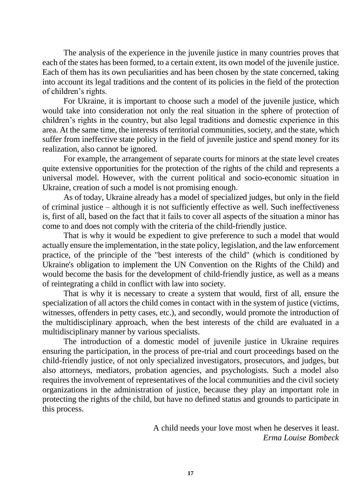The analysis of the experience in the juvenile justice in many countries proves that each of the states has been formed, to a certain extent, its own model of the juvenile justice. Each of them has its own peculiarities and has been chosen by the state concerned, taking into account its legal traditions and the content of its policies in the field of the protection of children's rights.

For Ukraine, it is important to choose such a model of the juvenile justice, which would take into consideration not only the real situation in the sphere of protection of children's rights in the country, but also legal traditions and domestic experience in this area. At the same time, the interests of territorial communities, society, and the state, which suffer from ineffective state policy in the field of juvenile justice and spend money for its realization, also cannot be ignored.

For example, the arrangement of separate courts for minors at the state level creates quite extensive opportunities for the protection of the rights of the child and represents a universal model. However, with the current political and socio-economic situation in Ukraine, creation of such a model is not promising enough.

As of today, Ukraine already has a model of specialized judges, but only in the field of criminal justice – although it is not sufficiently effective as well. Such ineffectiveness is, first of all, based on the fact that it fails to cover all aspects of the situation a minor has come to and does not comply with the criteria of the child-friendly justice.

That is why it would be expedient to give preference to such a model that would actually ensure the implementation, in the state policy, legislation, and the law enforcement practice, of the principle of the "best interests of the child" (which is conditioned by Ukraine's obligation to implement the UN Convention on the Rights of the Child) and would become the basis for the development of child-friendly justice, as well as a means of reintegrating a child in conflict with law into society.

That is why it is necessary to create a system that would, first of all, ensure the specialization of all actors the child comes in contact with in the system of justice (victims, witnesses, offenders in petty cases, etc.), and secondly, would promote the introduction of the multidisciplinary approach, when the best interests of the child are evaluated in a multidisciplinary manner by various specialists.

The introduction of a domestic model of juvenile justice in Ukraine requires ensuring the participation, in the process of pre-trial and court proceedings based on the child-friendly justice, of not only specialized investigators, prosecutors, and judges, but also attorneys, mediators, probation agencies, and psychologists. Such a model also requires the involvement of representatives of the local communities and the civil society organizations in the administration of justice, because they play an important role in protecting the rights of the child, but have no defined status and grounds to participate in this process.

> A child needs your love most when he deserves it least. *Erma Louise Bombeck*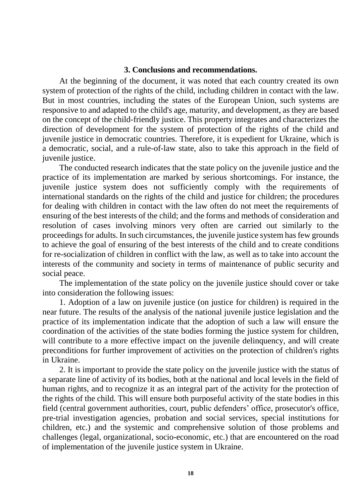#### **3. Conclusions and recommendations.**

At the beginning of the document, it was noted that each country created its own system of protection of the rights of the child, including children in contact with the law. But in most countries, including the states of the European Union, such systems are responsive to and adapted to the child's age, maturity, and development, as they are based on the concept of the child-friendly justice. This property integrates and characterizes the direction of development for the system of protection of the rights of the child and juvenile justice in democratic countries. Therefore, it is expedient for Ukraine, which is a democratic, social, and a rule-of-law state, also to take this approach in the field of juvenile justice.

The conducted research indicates that the state policy on the juvenile justice and the practice of its implementation are marked by serious shortcomings. For instance, the juvenile justice system does not sufficiently comply with the requirements of international standards on the rights of the child and justice for children; the procedures for dealing with children in contact with the law often do not meet the requirements of ensuring of the best interests of the child; and the forms and methods of consideration and resolution of cases involving minors very often are carried out similarly to the proceedings for adults. In such circumstances, the juvenile justice system has few grounds to achieve the goal of ensuring of the best interests of the child and to create conditions for re-socialization of children in conflict with the law, as well as to take into account the interests of the community and society in terms of maintenance of public security and social peace.

The implementation of the state policy on the juvenile justice should cover or take into consideration the following issues:

1. Adoption of a law on juvenile justice (on justice for children) is required in the near future. The results of the analysis of the national juvenile justice legislation and the practice of its implementation indicate that the adoption of such a law will ensure the coordination of the activities of the state bodies forming the justice system for children, will contribute to a more effective impact on the juvenile delinquency, and will create preconditions for further improvement of activities on the protection of children's rights in Ukraine.

2. It is important to provide the state policy on the juvenile justice with the status of a separate line of activity of its bodies, both at the national and local levels in the field of human rights, and to recognize it as an integral part of the activity for the protection of the rights of the child. This will ensure both purposeful activity of the state bodies in this field (central government authorities, court, public defenders' office, prosecutor's office, pre-trial investigation agencies, probation and social services, special institutions for children, etc.) and the systemic and comprehensive solution of those problems and challenges (legal, organizational, socio-economic, etc.) that are encountered on the road of implementation of the juvenile justice system in Ukraine.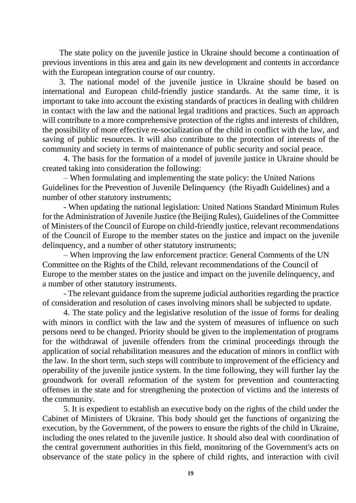The state policy on the juvenile justice in Ukraine should become a continuation of previous inventions in this area and gain its new development and contents in accordance with the European integration course of our country.

3. The national model of the juvenile justice in Ukraine should be based on international and European child-friendly justice standards. At the same time, it is important to take into account the existing standards of practices in dealing with children in contact with the law and the national legal traditions and practices. Such an approach will contribute to a more comprehensive protection of the rights and interests of children, the possibility of more effective re-socialization of the child in conflict with the law, and saving of public resources. It will also contribute to the protection of interests of the community and society in terms of maintenance of public security and social peace.

4. The basis for the formation of a model of juvenile justice in Ukraine should be created taking into consideration the following:

– When formulating and implementing the state policy: the United Nations Guidelines for the Prevention of Juvenile Delinquency (the Riyadh Guidelines) and a number of other statutory instruments;

- When updating the national legislation: United Nations Standard Minimum Rules for the Administration of Juvenile Justice (the Beijing Rules), Guidelines of the Committee of Ministers of the Council of Europe on child-friendly justice, relevant recommendations of the Council of Europe to the member states on the justice and impact on the juvenile delinquency, and a number of other statutory instruments;

– When improving the law enforcement practice: General Comments of the UN Committee on the Rights of the Child, relevant recommendations of the Council of Europe to the member states on the justice and impact on the juvenile delinquency, and a number of other statutory instruments.

- The relevant guidance from the supreme judicial authorities regarding the practice of consideration and resolution of cases involving minors shall be subjected to update.

4. The state policy and the legislative resolution of the issue of forms for dealing with minors in conflict with the law and the system of measures of influence on such persons need to be changed. Priority should be given to the implementation of programs for the withdrawal of juvenile offenders from the criminal proceedings through the application of social rehabilitation measures and the education of minors in conflict with the law. In the short term, such steps will contribute to improvement of the efficiency and operability of the juvenile justice system. In the time following, they will further lay the groundwork for overall reformation of the system for prevention and counteracting offenses in the state and for strengthening the protection of victims and the interests of the community.

5. It is expedient to establish an executive body on the rights of the child under the Cabinet of Ministers of Ukraine. This body should get the functions of organizing the execution, by the Government, of the powers to ensure the rights of the child in Ukraine, including the ones related to the juvenile justice. It should also deal with coordination of the central government authorities in this field, monitoring of the Government's acts on observance of the state policy in the sphere of child rights, and interaction with civil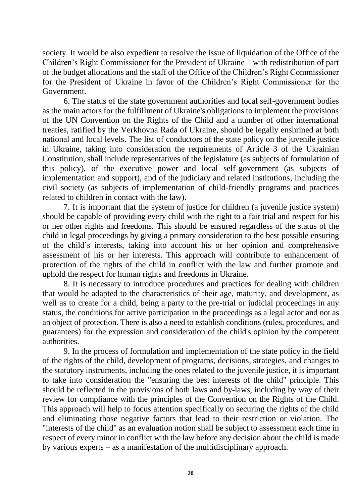society. It would be also expedient to resolve the issue of liquidation of the Office of the Children's Right Commissioner for the President of Ukraine – with redistribution of part of the budget allocations and the staff of the Office of the Children's Right Commissioner for the President of Ukraine in favor of the Children's Right Commissioner for the Government.

6. The status of the state government authorities and local self-government bodies as the main actors for the fulfillment of Ukraine's obligations to implement the provisions of the UN Convention on the Rights of the Child and a number of other international treaties, ratified by the Verkhovna Rada of Ukraine, should be legally enshrined at both national and local levels. The list of conductors of the state policy on the juvenile justice in Ukraine, taking into consideration the requirements of Article 3 of the Ukrainian Constitution, shall include representatives of the legislature (as subjects of formulation of this policy), of the executive power and local self-government (as subjects of implementation and support), and of the judiciary and related institutions, including the civil society (as subjects of implementation of child-friendly programs and practices related to children in contact with the law).

7. It is important that the system of justice for children (a juvenile justice system) should be capable of providing every child with the right to a fair trial and respect for his or her other rights and freedoms. This should be ensured regardless of the status of the child in legal proceedings by giving a primary consideration to the best possible ensuring of the child's interests, taking into account his or her opinion and comprehensive assessment of his or her interests. This approach will contribute to enhancement of protection of the rights of the child in conflict with the law and further promote and uphold the respect for human rights and freedoms in Ukraine.

8. It is necessary to introduce procedures and practices for dealing with children that would be adapted to the characteristics of their age, maturity, and development, as well as to create for a child, being a party to the pre-trial or judicial proceedings in any status, the conditions for active participation in the proceedings as a legal actor and not as an object of protection. There is also a need to establish conditions (rules, procedures, and guarantees) for the expression and consideration of the child's opinion by the competent authorities.

9. In the process of formulation and implementation of the state policy in the field of the rights of the child, development of programs, decisions, strategies, and changes to the statutory instruments, including the ones related to the juvenile justice, it is important to take into consideration the "ensuring the best interests of the child" principle. This should be reflected in the provisions of both laws and by-laws, including by way of their review for compliance with the principles of the Convention on the Rights of the Child. This approach will help to focus attention specifically on securing the rights of the child and eliminating those negative factors that lead to their restriction or violation. The "interests of the child" as an evaluation notion shall be subject to assessment each time in respect of every minor in conflict with the law before any decision about the child is made by various experts – as a manifestation of the multidisciplinary approach.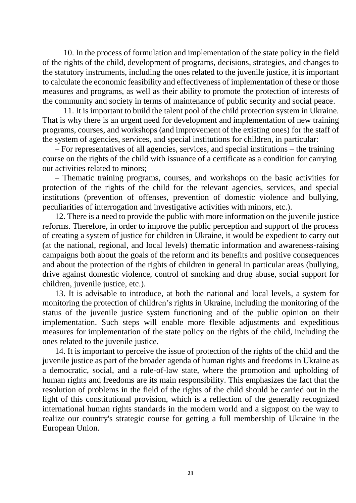10. In the process of formulation and implementation of the state policy in the field of the rights of the child, development of programs, decisions, strategies, and changes to the statutory instruments, including the ones related to the juvenile justice, it is important to calculate the economic feasibility and effectiveness of implementation of these or those measures and programs, as well as their ability to promote the protection of interests of the community and society in terms of maintenance of public security and social peace.

11. It is important to build the talent pool of the child protection system in Ukraine. That is why there is an urgent need for development and implementation of new training programs, courses, and workshops (and improvement of the existing ones) for the staff of the system of agencies, services, and special institutions for children, in particular:

– For representatives of all agencies, services, and special institutions – the training course on the rights of the child with issuance of a certificate as a condition for carrying out activities related to minors;

– Thematic training programs, courses, and workshops on the basic activities for protection of the rights of the child for the relevant agencies, services, and special institutions (prevention of offenses, prevention of domestic violence and bullying, peculiarities of interrogation and investigative activities with minors, etc.).

12. There is a need to provide the public with more information on the juvenile justice reforms. Therefore, in order to improve the public perception and support of the process of creating a system of justice for children in Ukraine, it would be expedient to carry out (at the national, regional, and local levels) thematic information and awareness-raising campaigns both about the goals of the reform and its benefits and positive consequences and about the protection of the rights of children in general in particular areas (bullying, drive against domestic violence, control of smoking and drug abuse, social support for children, juvenile justice, etc.).

13. It is advisable to introduce, at both the national and local levels, a system for monitoring the protection of children's rights in Ukraine, including the monitoring of the status of the juvenile justice system functioning and of the public opinion on their implementation. Such steps will enable more flexible adjustments and expeditious measures for implementation of the state policy on the rights of the child, including the ones related to the juvenile justice.

14. It is important to perceive the issue of protection of the rights of the child and the juvenile justice as part of the broader agenda of human rights and freedoms in Ukraine as a democratic, social, and a rule-of-law state, where the promotion and upholding of human rights and freedoms are its main responsibility. This emphasizes the fact that the resolution of problems in the field of the rights of the child should be carried out in the light of this constitutional provision, which is a reflection of the generally recognized international human rights standards in the modern world and a signpost on the way to realize our country's strategic course for getting a full membership of Ukraine in the European Union.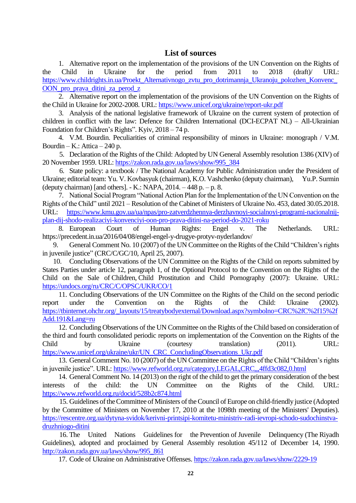#### **List of sources**

1. Alternative report on the implementation of the provisions of the UN Convention on the Rights of the Child in Ukraine for the period from 2011 to 2018 (draft)/ URL: [https://www.childrights.in.ua/Proekt\\_Alternativnogo\\_zvtu\\_pro\\_dotrimannja\\_Ukranoju\\_polozhen\\_Konvenc\\_](https://www.childrights.in.ua/Proekt_Alternativnogo_zvtu_pro_dotrimannja_Ukranoju_polozhen_Konvenc_OON_pro_prava_ditini_za_perod_z) [OON\\_pro\\_prava\\_ditini\\_za\\_perod\\_z](https://www.childrights.in.ua/Proekt_Alternativnogo_zvtu_pro_dotrimannja_Ukranoju_polozhen_Konvenc_OON_pro_prava_ditini_za_perod_z)

2. Alternative report on the implementation of the provisions of the UN Convention on the Rights of the Child in Ukraine for 2002-2008. URL:<https://www.unicef.org/ukraine/report-ukr.pdf>

3. Analysis of the national legislative framework of Ukraine on the current system of protection of children in conflict with the law: Defence for Children International (DCI-ECPAT NL) – All-Ukrainian Foundation for Children's Rights". Kyiv, 2018 – 74 p.

4. V.M. Bourdin. Peculiarities of criminal responsibility of minors in Ukraine: monograph / V.M. Bourdin – K.: Attica – 240 p.

5. Declaration of the Rights of the Child: Adopted by UN General Assembly resolution 1386 (XIV) of 20 November 1959. URL: [https://zakon.rada.gov.ua/laws/show/995\\_384](https://zakon.rada.gov.ua/laws/show/995_384)

6. State policy: a textbook / The National Academy for Public Administration under the President of Ukraine; editorial team: Yu. V. Kovbasyuk (chairman), K.O. Vashchenko (deputy chairman), Yu.P. Surmin (deputy chairman) [and others].  $-$  K.: NAPA, 2014.  $-$  448 p.  $-$  p. 8.

7. National Social Program "National Action Plan for the Implementation of the UN Convention on the Rights of the Child" until 2021 – Resolution of the Cabinet of Ministers of Ukraine No. 453, dated 30.05.2018. URL: [https://www.kmu.gov.ua/ua/npas/pro-zatverdzhennya-derzhavnoyi-socialnoyi-programi-nacionalnij](https://www.kmu.gov.ua/ua/npas/pro-zatverdzhennya-derzhavnoyi-socialnoyi-programi-nacionalnij-plan-dij-shodo-realizaciyi-konvenciyi-oon-pro-prava-ditini-na-period-do-2021-roku)[plan-dij-shodo-realizaciyi-konvenciyi-oon-pro-prava-ditini-na-period-do-2021-roku](https://www.kmu.gov.ua/ua/npas/pro-zatverdzhennya-derzhavnoyi-socialnoyi-programi-nacionalnij-plan-dij-shodo-realizaciyi-konvenciyi-oon-pro-prava-ditini-na-period-do-2021-roku)

8. European Court of Human Rights: Engel v. The Netherlands. URL: https://precedent.in.ua/2016/04/08/engel-engel-y-drugye-protyv-nyderlandov/

9. General Comment No. 10 (2007) of the UN Committee on the Rights of the Child "Children's rights in juvenile justice" (CRC/C/GC/10, April 25, 2007).

10. Concluding Observations of the UN Committee on the Rights of the Child on reports submitted by States Parties under article 12, paragraph 1, of the Optional Protocol to the Convention on the Rights of the Child on the Sale of Children, Child Prostitution and Child Pornography (2007): Ukraine. URL: <https://undocs.org/ru/CRC/C/OPSC/UKR/CO/1>

11. Concluding Observations of the UN Committee on the Rights of the Child on the second periodic report under the Convention on the Rights of the Child: Ukraine (2002). [https://tbinternet.ohchr.org/\\_layouts/15/treatybodyexternal/Download.aspx?symbolno=CRC%2fC%2f15%2f](https://tbinternet.ohchr.org/_layouts/15/treatybodyexternal/Download.aspx?symbolno=CRC%2fC%2f15%2fAdd.191&Lang=ru) [Add.191&Lang=ru](https://tbinternet.ohchr.org/_layouts/15/treatybodyexternal/Download.aspx?symbolno=CRC%2fC%2f15%2fAdd.191&Lang=ru)

12. Concluding Observations of the UN Committee on the Rights of the Child based on consideration of the third and fourth consolidated periodic reports on implementation of the Convention on the Rights of the Child by Ukraine (courtesy translation) (2011). URL: [https://www.unicef.org/ukraine/ukr/UN\\_CRC\\_ConcludingObservations\\_Ukr.pdf](https://www.unicef.org/ukraine/ukr/UN_CRC_ConcludingObservations_Ukr.pdf)

13. General Comment No. 10 (2007) of the UN Committee on the Rights of the Child "Children's rights in juvenile justice". URL:<https://www.refworld.org.ru/category,LEGAL,CRC,,,4ffd3c082,0.html>

14. General Comment No. 14 (2013) on the right of the child to get the primary consideration of the best interests of the child: the UN Committee on the Rights of the Child. URL: <https://www.refworld.org.ru/docid/528b2c874.html>

15. Guidelines of the Committee of Ministers of the Council of Europe on child-friendly justice (Adopted by the Committee of Ministers on November 17, 2010 at the 1098th meeting of the Ministers' Deputies). [https://rescentre.org.ua/dytyna-svidok/kerivni-printsipi-komitetu-ministriv-radi-ievropi-schodo-sudochinstva](https://rescentre.org.ua/dytyna-svidok/kerivni-printsipi-komitetu-ministriv-radi-ievropi-schodo-sudochinstva-druzhniogo-ditini)[druzhniogo-ditini](https://rescentre.org.ua/dytyna-svidok/kerivni-printsipi-komitetu-ministriv-radi-ievropi-schodo-sudochinstva-druzhniogo-ditini)

16. The United Nations Guidelines for the Prevention of Juvenile Delinquency (The Riyadh Guidelines), adopted and proclaimed by General Assembly resolution 45/112 of December 14, 1990. [http://zakon.rada.gov.ua/laws/show/995\\_861](http://zakon.rada.gov.ua/laws/show/995_861)

17. Code of Ukraine on Administrative Offenses[. https://zakon.rada.gov.ua/laws/show/2229-19](https://zakon.rada.gov.ua/laws/show/2229-19)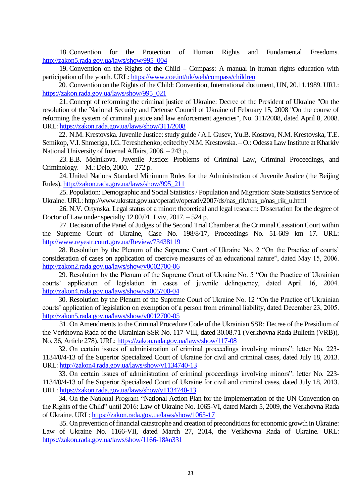18. Convention for the Protection of Human Rights and Fundamental Freedoms. [http://zakon5.rada.gov.ua/laws/show/995\\_004](http://zakon5.rada.gov.ua/laws/show/995_004)

19. Convention on the Rights of the Child – Compass: A manual in human rights education with participation of the youth. URL:<https://www.coe.int/uk/web/compass/children>

20. Convention on the Rights of the Child: Convention, International document, UN, 20.11.1989. URL: [https://zakon.rada.gov.ua/laws/show/995\\_021](https://zakon.rada.gov.ua/laws/show/995_021)

21. Concept of reforming the criminal justice of Ukraine: Decree of the President of Ukraine "On the resolution of the National Security and Defense Council of Ukraine of February 15, 2008 "On the course of reforming the system of criminal justice and law enforcement agencies", No. 311/2008, dated April 8, 2008. URL[: https://zakon.rada.gov.ua/laws/show/311/2008](https://zakon.rada.gov.ua/laws/show/311/2008)

22. N.M. Krestovska. Juvenile Justice: study guide / A.I. Gusev, Yu.B. Kostova, N.M. Krestovska, T.E. Semikop, V.I. Shmeriga, I.G. Tereshchenko; edited by N.M. Krestovska. – O.: Odessa Law Institute at Kharkiv National University of Internal Affairs, 2006. – 243 p.

23. E.B. Melnikova. Juvenile Justice: Problems of Criminal Law, Criminal Proceedings, and Criminology. – M.: Delo, 2000. – 272 p.

24. United Nations Standard Minimum Rules for the Administration of Juvenile Justice (the Beijing Rules). [http://zakon.rada.gov.ua/laws/show/995\\_211](http://zakon.rada.gov.ua/laws/show/995_211)

25. Population: Demographic and Social Statistics / Population and Migration: State Statistics Service of Ukraine. URL: http://www.ukrstat.gov.ua/operativ/operativ2007/ds/nas\_rik/nas\_u/nas\_rik\_u.html

26. N.V. Ortynska. Legal status of a minor: theoretical and legal research: Dissertation for the degree of Doctor of Law under specialty 12.00.01. Lviv, 2017. – 524 p.

27. Decision of the Panel of Judges of the Second Trial Chamber at the Criminal Cassation Court within the Supreme Court of Ukraine, Case No. 198/8/17, Proceedings No. 51-609 km 17. URL: <http://www.reyestr.court.gov.ua/Review/73438119>

28. Resolution by the Plenum of the Supreme Court of Ukraine No. 2 "On the Practice of courts' consideration of cases on application of coercive measures of an educational nature", dated May 15, 2006. <http://zakon2.rada.gov.ua/laws/show/v0002700-06>

29. Resolution by the Plenum of the Supreme Court of Ukraine No. 5 "On the Practice of Ukrainian courts' application of legislation in cases of juvenile delinquency, dated April 16, 2004. <http://zakon4.rada.gov.ua/laws/show/va005700-04>

30. Resolution by the Plenum of the Supreme Court of Ukraine No. 12 "On the Practice of Ukrainian courts' application of legislation on exemption of a person from criminal liability, dated December 23, 2005. <http://zakon5.rada.gov.ua/laws/show/v0012700-05>

31. On Amendments to the Criminal Procedure Code of the Ukrainian SSR: Decree of the Presidium of the Verkhovna Rada of the Ukrainian SSR No. 117-VIII, dated 30.08.71 (Verkhovna Rada Bulletin (VRB)), No. 36, Article 278). URL:<https://zakon.rada.gov.ua/laws/show/117-08>

32. On certain issues of administration of criminal proceedings involving minors": letter No. 223- 1134/0/4-13 of the Superior Specialized Court of Ukraine for civil and criminal cases, dated July 18, 2013. URL[: http://zakon4.rada.gov.ua/laws/show/v1134740-13](http://zakon4.rada.gov.ua/laws/show/v1134740-13)

33. On certain issues of administration of criminal proceedings involving minors": letter No. 223- 1134/0/4-13 of the Superior Specialized Court of Ukraine for civil and criminal cases, dated July 18, 2013. URL[: https://zakon.rada.gov.ua/laws/show/v1134740-13](https://zakon.rada.gov.ua/laws/show/v1134740-13)

34. On the National Program "National Action Plan for the Implementation of the UN Convention on the Rights of the Child" until 2016: Law of Ukraine No. 1065-VI, dated March 5, 2009, the Verkhovna Rada of Ukraine. URL:<https://zakon.rada.gov.ua/laws/show/1065-17>

35. On prevention of financial catastrophe and creation of preconditions for economic growth in Ukraine: Law of Ukraine No. 1166-VII, dated March 27, 2014, the Verkhovna Rada of Ukraine. URL: <https://zakon.rada.gov.ua/laws/show/1166-18#n331>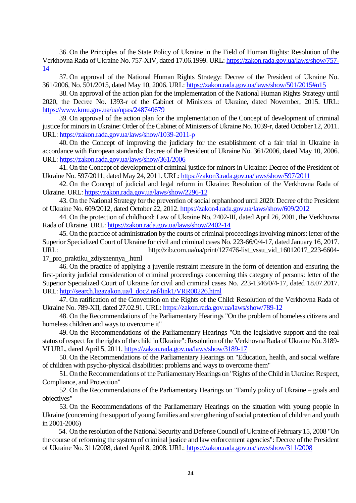36. On the Principles of the State Policy of Ukraine in the Field of Human Rights: Resolution of the Verkhovna Rada of Ukraine No. 757-XIV, dated 17.06.1999. URL[: https://zakon.rada.gov.ua/laws/show/757-](https://zakon.rada.gov.ua/laws/show/757-14) [14](https://zakon.rada.gov.ua/laws/show/757-14)

37. On approval of the National Human Rights Strategy: Decree of the President of Ukraine No. 361/2006, No. 501/2015, dated May 10, 2006. URL:<https://zakon.rada.gov.ua/laws/show/501/2015#n15>

38. On approval of the action plan for the implementation of the National Human Rights Strategy until 2020, the Decree No. 1393-r of the Cabinet of Ministers of Ukraine, dated November, 2015. URL: <https://www.kmu.gov.ua/ua/npas/248740679>

39. On approval of the action plan for the implementation of the Concept of development of criminal justice for minors in Ukraine: Order of the Cabinet of Ministers of Ukraine No. 1039-r, dated October 12, 2011. URL[: https://zakon.rada.gov.ua/laws/show/1039-2011-р](https://zakon.rada.gov.ua/laws/show/1039-2011-р)

40. On the Concept of improving the judiciary for the establishment of a fair trial in Ukraine in accordance with European standards: Decree of the President of Ukraine No. 361/2006, dated May 10, 2006. URL[: https://zakon.rada.gov.ua/laws/show/361/2006](https://zakon.rada.gov.ua/laws/show/361/2006)

41. On the Concept of development of criminal justice for minors in Ukraine: Decree of the President of Ukraine No. 597/2011, dated May 24, 2011. URL:<https://zakon3.rada.gov.ua/laws/show/597/2011>

42. On the Concept of judicial and legal reform in Ukraine: Resolution of the Verkhovna Rada of Ukraine. URL[: https://zakon.rada.gov.ua/laws/show/2296-12](https://zakon.rada.gov.ua/laws/show/2296-12)

43. On the National Strategy for the prevention of social orphanhood until 2020: Decree of the President of Ukraine No. 609/2012, dated October 22, 2012[. https://zakon4.rada.gov.ua/laws/show/609/2012](https://zakon4.rada.gov.ua/laws/show/609/2012)

44. On the protection of childhood: Law of Ukraine No. 2402-III, dated April 26, 2001, the Verkhovna Rada of Ukraine. URL:<https://zakon.rada.gov.ua/laws/show/2402-14>

45. On the practice of administration by the courts of criminal proceedings involving minors: letter of the Superior Specialized Court of Ukraine for civil and criminal cases No. 223-66/0/4-17, dated January 16, 2017. URL: http://zib.com.ua/ua/print/127476-list vssu\_vid\_16012017\_223-6604-

17\_pro\_praktiku\_zdiysnennya\_.html

46. On the practice of applying a juvenile restraint measure in the form of detention and ensuring the first-priority judicial consideration of criminal proceedings concerning this category of persons: letter of the Superior Specialized Court of Ukraine for civil and criminal cases No. 223-1346/0/4-17, dated 18.07.2017. URL[: http://search.ligazakon.ua/l\\_doc2.nsf/link1/VRR00226.html](http://search.ligazakon.ua/l_doc2.nsf/link1/VRR00226.html)

47. On ratification of the Convention on the Rights of the Child: Resolution of the Verkhovna Rada of Ukraine No. 789-XII, dated 27.02.91. URL[: https://zakon.rada.gov.ua/laws/show/789-12](https://zakon.rada.gov.ua/laws/show/789-12)

48. On the Recommendations of the Parliamentary Hearings "On the problem of homeless citizens and homeless children and ways to overcome it"

49. On the Recommendations of the Parliamentary Hearings "On the legislative support and the real status of respect for the rights of the child in Ukraine": Resolution of the Verkhovna Rada of Ukraine No. 3189- VI URL, dared April 5, 2011. <https://zakon.rada.gov.ua/laws/show/3189-17>

50. On the Recommendations of the Parliamentary Hearings on "Education, health, and social welfare of children with psycho-physical disabilities: problems and ways to overcome them"

51. On the Recommendations of the Parliamentary Hearings on "Rights of the Child in Ukraine: Respect, Compliance, and Protection"

52. On the Recommendations of the Parliamentary Hearings on "Family policy of Ukraine – goals and objectives"

53. On the Recommendations of the Parliamentary Hearings on the situation with young people in Ukraine (concerning the support of young families and strengthening of social protection of children and youth in 2001-2006)

54. On the resolution of the National Security and Defense Council of Ukraine of February 15, 2008 "On the course of reforming the system of criminal justice and law enforcement agencies": Decree of the President of Ukraine No. 311/2008, dated April 8, 2008. URL:<https://zakon.rada.gov.ua/laws/show/311/2008>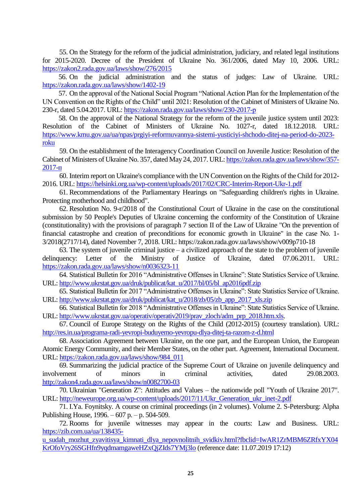55. On the Strategy for the reform of the judicial administration, judiciary, and related legal institutions for 2015-2020. Decree of the President of Ukraine No. 361/2006, dated May 10, 2006. URL: <https://zakon2.rada.gov.ua/laws/show/276/2015>

56. On the judicial administration and the status of judges: Law of Ukraine. URL: <https://zakon.rada.gov.ua/laws/show/1402-19>

57. On the approval of the National Social Program "National Action Plan for the Implementation of the UN Convention on the Rights of the Child" until 2021: Resolution of the Cabinet of Ministers of Ukraine No. 230-r, dated 5.04.2017. URL: <https://zakon.rada.gov.ua/laws/show/230-2017-р>

58. On the approval of the National Strategy for the reform of the juvenile justice system until 2023: Resolution of the Cabinet of Ministers of Ukraine No. 1027-r, dated 18.12.2018. URL: [https://www.kmu.gov.ua/ua/npas/prgiyi-reformuvannya-sistemi-yusticiyi-shchodo-ditej-na-period-do-2023](https://www.kmu.gov.ua/ua/npas/prgiyi-reformuvannya-sistemi-yusticiyi-shchodo-ditej-na-period-do-2023-roku) [roku](https://www.kmu.gov.ua/ua/npas/prgiyi-reformuvannya-sistemi-yusticiyi-shchodo-ditej-na-period-do-2023-roku)

59. On the establishment of the Interagency Coordination Council on Juvenile Justice: Resolution of the Cabinet of Ministers of Ukraine No. 357, dated May 24, 2017. URL[: https://zakon.rada.gov.ua/laws/show/357-](https://zakon.rada.gov.ua/laws/show/357-2017-п) [2017-п](https://zakon.rada.gov.ua/laws/show/357-2017-п)

60. Interim report on Ukraine's compliance with the UN Convention on the Rights of the Child for 2012- 2016. URL:<https://helsinki.org.ua/wp-content/uploads/2017/02/CRC-Interim-Report-Ukr-1.pdf>

61. Recommendations of the Parliamentary Hearings on "Safeguarding children's rights in Ukraine. Protecting motherhood and childhood".

62. Resolution No. 9-r/2018 of the Constitutional Court of Ukraine in the case on the constitutional submission by 50 People's Deputies of Ukraine concerning the conformity of the Constitution of Ukraine (constitutionality) with the provisions of paragraph 7 section II of the Law of Ukraine "On the prevention of financial catastrophe and creation of preconditions for economic growth in Ukraine" in the case No. 1- 3/2018(2717/14), dated November 7, 2018. URL: https://zakon.rada.gov.ua/laws/show/v009p710-18

63. The system of juvenile criminal justice – a civilized approach of the state to the problem of juvenile delinquency: Letter of the Ministry of Justice of Ukraine, dated 07.06.2011. URL: <https://zakon.rada.gov.ua/laws/show/n0036323-11>

64. Statistical Bulletin for 2016 "Administrative Offenses in Ukraine": State Statistics Service of Ukraine. URL: [http://www.ukrstat.gov.ua/druk/publicat/kat\\_u/2017/bl/05/bl\\_ap2016pdf.zip](http://www.ukrstat.gov.ua/druk/publicat/kat_u/2017/bl/05/bl_ap2016pdf.zip)

65. Statistical Bulletin for 2017 "Administrative Offenses in Ukraine": State Statistics Service of Ukraine. URL: [http://www.ukrstat.gov.ua/druk/publicat/kat\\_u/2018/zb/05/zb\\_app\\_2017\\_xls.zip](http://www.ukrstat.gov.ua/druk/publicat/kat_u/2018/zb/05/zb_app_2017_xls.zip)

66. Statistical Bulletin for 2018 "Administrative Offenses in Ukraine": State Statistics Service of Ukraine. URL: [http://www.ukrstat.gov.ua/operativ/operativ2019/prav\\_zloch/adm\\_prp\\_2018.htm.xls.](http://www.ukrstat.gov.ua/operativ/operativ2019/prav_zloch/adm_prp_2018.htm.xls)

67. Council of Europe Strategy on the Rights of the Child (2012-2015) (courtesy translation). URL: <http://res.in.ua/programa-radi-yevropi-buduyemo-yevropu-dlya-ditej-ta-razom-z-d.html>

68. Association Agreement between Ukraine, on the one part, and the European Union, the European Atomic Energy Community, and their Member States, on the other part. Agreement, International Document. URL[: https://zakon.rada.gov.ua/laws/show/984\\_011](https://zakon.rada.gov.ua/laws/show/984_011)

69. Summarizing the judicial practice of the Supreme Court of Ukraine on juvenile delinquency and involvement of minors in criminal activities, dated 29.08.2003. <http://zakon4.rada.gov.ua/laws/show/n0082700-03>

70. Ukrainian "Generation Z": Attitudes and Values – the nationwide poll "Youth of Ukraine 2017". URL[: http://neweurope.org.ua/wp-content/uploads/2017/11/Ukr\\_Generation\\_ukr\\_inet-2.pdf](http://neweurope.org.ua/wp-content/uploads/2017/11/Ukr_Generation_ukr_inet-2.pdf)

71. I.Ya. Foynitsky. A course on criminal proceedings (in 2 volumes). Volume 2. S-Petersburg: Alpha Publishing House, 1996. – 607 p. – p. 504-509.

72. Rooms for juvenile witnesses may appear in the courts: Law and Business. URL: [https://zib.com.ua/ua/138435-](https://zib.com.ua/ua/138435-u_sudah_mozhut_zyavitisya_kimnati_dlya_nepovnolitnih_svidkiv.html?fbclid=IwAR1ZrMBM6ZRfxYX04KrOfoVry26SGHfn9yqdmamgaweHZxQjZIds7YMj3lo)

[u\\_sudah\\_mozhut\\_zyavitisya\\_kimnati\\_dlya\\_nepovnolitnih\\_svidkiv.html?fbclid=IwAR1ZrMBM6ZRfxYX04](https://zib.com.ua/ua/138435-u_sudah_mozhut_zyavitisya_kimnati_dlya_nepovnolitnih_svidkiv.html?fbclid=IwAR1ZrMBM6ZRfxYX04KrOfoVry26SGHfn9yqdmamgaweHZxQjZIds7YMj3lo) [KrOfoVry26SGHfn9yqdmamgaweHZxQjZIds7YMj3lo](https://zib.com.ua/ua/138435-u_sudah_mozhut_zyavitisya_kimnati_dlya_nepovnolitnih_svidkiv.html?fbclid=IwAR1ZrMBM6ZRfxYX04KrOfoVry26SGHfn9yqdmamgaweHZxQjZIds7YMj3lo) (reference date: 11.07.2019 17:12)